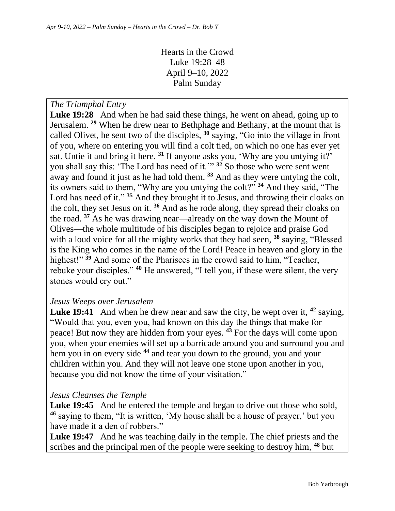Hearts in the Crowd Luke 19:28–48 April 9–10, 2022 Palm Sunday

*The Triumphal Entry*

Luke 19:28 And when he had said these things, he went on ahead, going up to Jerusalem. **<sup>29</sup>** When he drew near to Bethphage and Bethany, at the mount that is called Olivet, he sent two of the disciples, **<sup>30</sup>** saying, "Go into the village in front of you, where on entering you will find a colt tied, on which no one has ever yet sat. Untie it and bring it here. **<sup>31</sup>** If anyone asks you, 'Why are you untying it?' you shall say this: 'The Lord has need of it.'" **<sup>32</sup>** So those who were sent went away and found it just as he had told them. **<sup>33</sup>** And as they were untying the colt, its owners said to them, "Why are you untying the colt?" **<sup>34</sup>** And they said, "The Lord has need of it." **<sup>35</sup>** And they brought it to Jesus, and throwing their cloaks on the colt, they set Jesus on it. **<sup>36</sup>** And as he rode along, they spread their cloaks on the road. **<sup>37</sup>** As he was drawing near—already on the way down the Mount of Olives—the whole multitude of his disciples began to rejoice and praise God with a loud voice for all the mighty works that they had seen, **<sup>38</sup>** saying, "Blessed is the King who comes in the name of the Lord! Peace in heaven and glory in the highest!"<sup>39</sup> And some of the Pharisees in the crowd said to him, "Teacher, rebuke your disciples." **<sup>40</sup>** He answered, "I tell you, if these were silent, the very stones would cry out."

## *Jesus Weeps over Jerusalem*

**Luke 19:41** And when he drew near and saw the city, he wept over it, **<sup>42</sup>** saying, "Would that you, even you, had known on this day the things that make for peace! But now they are hidden from your eyes. **<sup>43</sup>** For the days will come upon you, when your enemies will set up a barricade around you and surround you and hem you in on every side **<sup>44</sup>** and tear you down to the ground, you and your children within you. And they will not leave one stone upon another in you, because you did not know the time of your visitation."

## *Jesus Cleanses the Temple*

Luke 19:45 And he entered the temple and began to drive out those who sold, **<sup>46</sup>** saying to them, "It is written, 'My house shall be a house of prayer,' but you have made it a den of robbers."

Luke 19:47 And he was teaching daily in the temple. The chief priests and the scribes and the principal men of the people were seeking to destroy him, **<sup>48</sup>** but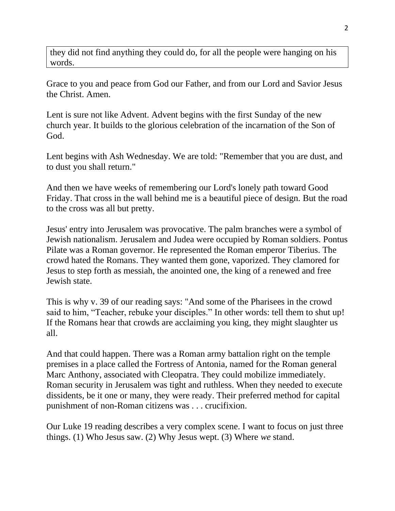they did not find anything they could do, for all the people were hanging on his words.

Grace to you and peace from God our Father, and from our Lord and Savior Jesus the Christ. Amen.

Lent is sure not like Advent. Advent begins with the first Sunday of the new church year. It builds to the glorious celebration of the incarnation of the Son of God.

Lent begins with Ash Wednesday. We are told: "Remember that you are dust, and to dust you shall return."

And then we have weeks of remembering our Lord's lonely path toward Good Friday. That cross in the wall behind me is a beautiful piece of design. But the road to the cross was all but pretty.

Jesus' entry into Jerusalem was provocative. The palm branches were a symbol of Jewish nationalism. Jerusalem and Judea were occupied by Roman soldiers. Pontus Pilate was a Roman governor. He represented the Roman emperor Tiberius. The crowd hated the Romans. They wanted them gone, vaporized. They clamored for Jesus to step forth as messiah, the anointed one, the king of a renewed and free Jewish state.

This is why v. 39 of our reading says: "And some of the Pharisees in the crowd said to him, "Teacher, rebuke your disciples." In other words: tell them to shut up! If the Romans hear that crowds are acclaiming you king, they might slaughter us all.

And that could happen. There was a Roman army battalion right on the temple premises in a place called the Fortress of Antonia, named for the Roman general Marc Anthony, associated with Cleopatra. They could mobilize immediately. Roman security in Jerusalem was tight and ruthless. When they needed to execute dissidents, be it one or many, they were ready. Their preferred method for capital punishment of non-Roman citizens was . . . crucifixion.

Our Luke 19 reading describes a very complex scene. I want to focus on just three things. (1) Who Jesus saw. (2) Why Jesus wept. (3) Where *we* stand.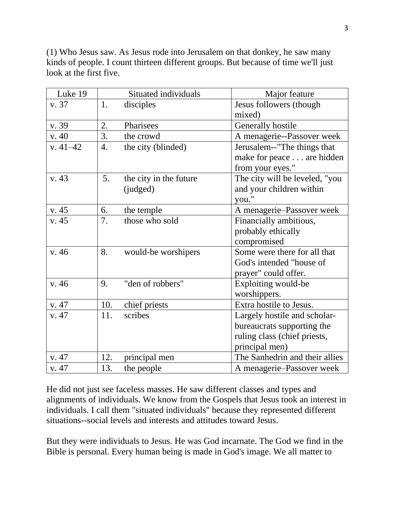(1) Who Jesus saw. As Jesus rode into Jerusalem on that donkey, he saw many kinds of people. I count thirteen different groups. But because of time we'll just look at the first five.

| Luke 19      |     | Situated individuals   | Major feature                  |
|--------------|-----|------------------------|--------------------------------|
| v. 37        | 1.  | disciples              | Jesus followers (though        |
|              |     |                        | mixed)                         |
| v. 39        | 2.  | Pharisees              | Generally hostile              |
| v. 40        | 3.  | the crowd              | A menagerie--Passover week     |
| $v. 41 - 42$ | 4.  | the city (blinded)     | Jerusalem--"The things that    |
|              |     |                        | make for peace are hidden      |
|              |     |                        | from your eyes."               |
| v. 43        | 5.  | the city in the future | The city will be leveled, "you |
|              |     | (judged)               | and your children within       |
|              |     |                        | you."                          |
| v. 45        | 6.  | the temple             | A menagerie-Passover week      |
| v. 45        | 7.  | those who sold         | Financially ambitious,         |
|              |     |                        | probably ethically             |
|              |     |                        | compromised                    |
| v.46         | 8.  | would-be worshipers    | Some were there for all that   |
|              |     |                        | God's intended "house of       |
|              |     |                        | prayer" could offer.           |
| v.46         | 9.  | "den of robbers"       | Exploiting would-be            |
|              |     |                        | worshippers.                   |
| v. 47        | 10. | chief priests          | Extra hostile to Jesus.        |
| v. 47        | 11. | scribes                | Largely hostile and scholar-   |
|              |     |                        | bureaucrats supporting the     |
|              |     |                        | ruling class (chief priests,   |
|              |     |                        | principal men)                 |
| v. 47        | 12. | principal men          | The Sanhedrin and their allies |
| v. 47        | 13. | the people             | A menagerie-Passover week      |

He did not just see faceless masses. He saw different classes and types and alignments of individuals. We know from the Gospels that Jesus took an interest in individuals. I call them "situated individuals" because they represented different situations--social levels and interests and attitudes toward Jesus.

But they were individuals to Jesus. He was God incarnate. The God we find in the Bible is personal. Every human being is made in God's image. We all matter to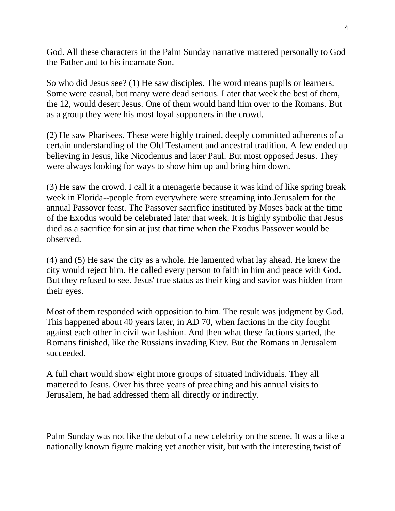God. All these characters in the Palm Sunday narrative mattered personally to God the Father and to his incarnate Son.

So who did Jesus see? (1) He saw disciples. The word means pupils or learners. Some were casual, but many were dead serious. Later that week the best of them, the 12, would desert Jesus. One of them would hand him over to the Romans. But as a group they were his most loyal supporters in the crowd.

(2) He saw Pharisees. These were highly trained, deeply committed adherents of a certain understanding of the Old Testament and ancestral tradition. A few ended up believing in Jesus, like Nicodemus and later Paul. But most opposed Jesus. They were always looking for ways to show him up and bring him down.

(3) He saw the crowd. I call it a menagerie because it was kind of like spring break week in Florida--people from everywhere were streaming into Jerusalem for the annual Passover feast. The Passover sacrifice instituted by Moses back at the time of the Exodus would be celebrated later that week. It is highly symbolic that Jesus died as a sacrifice for sin at just that time when the Exodus Passover would be observed.

(4) and (5) He saw the city as a whole. He lamented what lay ahead. He knew the city would reject him. He called every person to faith in him and peace with God. But they refused to see. Jesus' true status as their king and savior was hidden from their eyes.

Most of them responded with opposition to him. The result was judgment by God. This happened about 40 years later, in AD 70, when factions in the city fought against each other in civil war fashion. And then what these factions started, the Romans finished, like the Russians invading Kiev. But the Romans in Jerusalem succeeded.

A full chart would show eight more groups of situated individuals. They all mattered to Jesus. Over his three years of preaching and his annual visits to Jerusalem, he had addressed them all directly or indirectly.

Palm Sunday was not like the debut of a new celebrity on the scene. It was a like a nationally known figure making yet another visit, but with the interesting twist of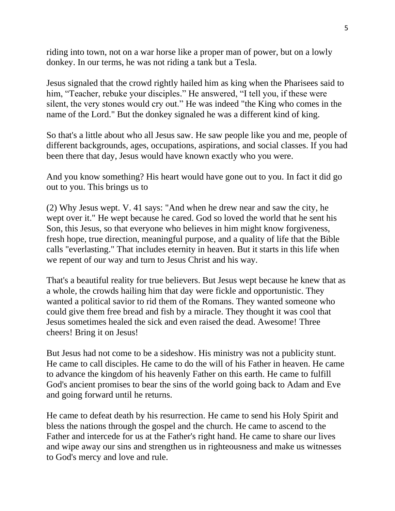riding into town, not on a war horse like a proper man of power, but on a lowly donkey. In our terms, he was not riding a tank but a Tesla.

Jesus signaled that the crowd rightly hailed him as king when the Pharisees said to him, "Teacher, rebuke your disciples." He answered, "I tell you, if these were silent, the very stones would cry out." He was indeed "the King who comes in the name of the Lord." But the donkey signaled he was a different kind of king.

So that's a little about who all Jesus saw. He saw people like you and me, people of different backgrounds, ages, occupations, aspirations, and social classes. If you had been there that day, Jesus would have known exactly who you were.

And you know something? His heart would have gone out to you. In fact it did go out to you. This brings us to

(2) Why Jesus wept. V. 41 says: "And when he drew near and saw the city, he wept over it." He wept because he cared. God so loved the world that he sent his Son, this Jesus, so that everyone who believes in him might know forgiveness, fresh hope, true direction, meaningful purpose, and a quality of life that the Bible calls "everlasting." That includes eternity in heaven. But it starts in this life when we repent of our way and turn to Jesus Christ and his way.

That's a beautiful reality for true believers. But Jesus wept because he knew that as a whole, the crowds hailing him that day were fickle and opportunistic. They wanted a political savior to rid them of the Romans. They wanted someone who could give them free bread and fish by a miracle. They thought it was cool that Jesus sometimes healed the sick and even raised the dead. Awesome! Three cheers! Bring it on Jesus!

But Jesus had not come to be a sideshow. His ministry was not a publicity stunt. He came to call disciples. He came to do the will of his Father in heaven. He came to advance the kingdom of his heavenly Father on this earth. He came to fulfill God's ancient promises to bear the sins of the world going back to Adam and Eve and going forward until he returns.

He came to defeat death by his resurrection. He came to send his Holy Spirit and bless the nations through the gospel and the church. He came to ascend to the Father and intercede for us at the Father's right hand. He came to share our lives and wipe away our sins and strengthen us in righteousness and make us witnesses to God's mercy and love and rule.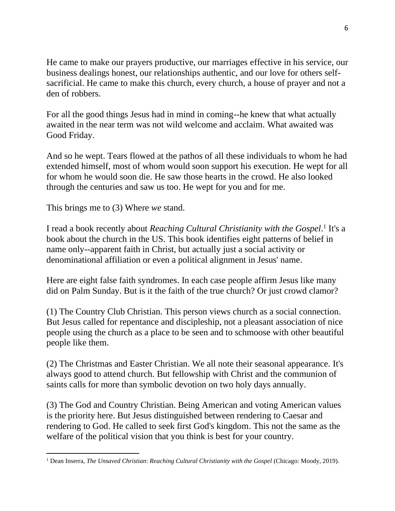He came to make our prayers productive, our marriages effective in his service, our business dealings honest, our relationships authentic, and our love for others selfsacrificial. He came to make this church, every church, a house of prayer and not a den of robbers.

For all the good things Jesus had in mind in coming--he knew that what actually awaited in the near term was not wild welcome and acclaim. What awaited was Good Friday.

And so he wept. Tears flowed at the pathos of all these individuals to whom he had extended himself, most of whom would soon support his execution. He wept for all for whom he would soon die. He saw those hearts in the crowd. He also looked through the centuries and saw us too. He wept for you and for me.

This brings me to (3) Where *we* stand.

I read a book recently about *Reaching Cultural Christianity with the Gospel*.<sup>1</sup> It's a book about the church in the US. This book identifies eight patterns of belief in name only--apparent faith in Christ, but actually just a social activity or denominational affiliation or even a political alignment in Jesus' name.

Here are eight false faith syndromes. In each case people affirm Jesus like many did on Palm Sunday. But is it the faith of the true church? Or just crowd clamor?

(1) The Country Club Christian. This person views church as a social connection. But Jesus called for repentance and discipleship, not a pleasant association of nice people using the church as a place to be seen and to schmoose with other beautiful people like them.

(2) The Christmas and Easter Christian. We all note their seasonal appearance. It's always good to attend church. But fellowship with Christ and the communion of saints calls for more than symbolic devotion on two holy days annually.

(3) The God and Country Christian. Being American and voting American values is the priority here. But Jesus distinguished between rendering to Caesar and rendering to God. He called to seek first God's kingdom. This not the same as the welfare of the political vision that you think is best for your country.

<sup>1</sup> Dean Inserra, *The Unsaved Christian*: *Reaching Cultural Christianity with the Gospel* (Chicago: Moody, 2019).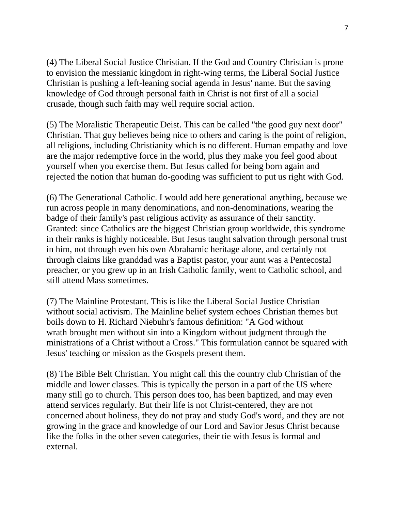(4) The Liberal Social Justice Christian. If the God and Country Christian is prone to envision the messianic kingdom in right-wing terms, the Liberal Social Justice Christian is pushing a left-leaning social agenda in Jesus' name. But the saving knowledge of God through personal faith in Christ is not first of all a social crusade, though such faith may well require social action.

(5) The Moralistic Therapeutic Deist. This can be called "the good guy next door" Christian. That guy believes being nice to others and caring is the point of religion, all religions, including Christianity which is no different. Human empathy and love are the major redemptive force in the world, plus they make you feel good about yourself when you exercise them. But Jesus called for being born again and rejected the notion that human do-gooding was sufficient to put us right with God.

(6) The Generational Catholic. I would add here generational anything, because we run across people in many denominations, and non-denominations, wearing the badge of their family's past religious activity as assurance of their sanctity. Granted: since Catholics are the biggest Christian group worldwide, this syndrome in their ranks is highly noticeable. But Jesus taught salvation through personal trust in him, not through even his own Abrahamic heritage alone, and certainly not through claims like granddad was a Baptist pastor, your aunt was a Pentecostal preacher, or you grew up in an Irish Catholic family, went to Catholic school, and still attend Mass sometimes.

(7) The Mainline Protestant. This is like the Liberal Social Justice Christian without social activism. The Mainline belief system echoes Christian themes but boils down to H. Richard Niebuhr's famous definition: "A God without wrath brought men without sin into a Kingdom without judgment through the ministrations of a Christ without a Cross." This formulation cannot be squared with Jesus' teaching or mission as the Gospels present them.

(8) The Bible Belt Christian. You might call this the country club Christian of the middle and lower classes. This is typically the person in a part of the US where many still go to church. This person does too, has been baptized, and may even attend services regularly. But their life is not Christ-centered, they are not concerned about holiness, they do not pray and study God's word, and they are not growing in the grace and knowledge of our Lord and Savior Jesus Christ because like the folks in the other seven categories, their tie with Jesus is formal and external.